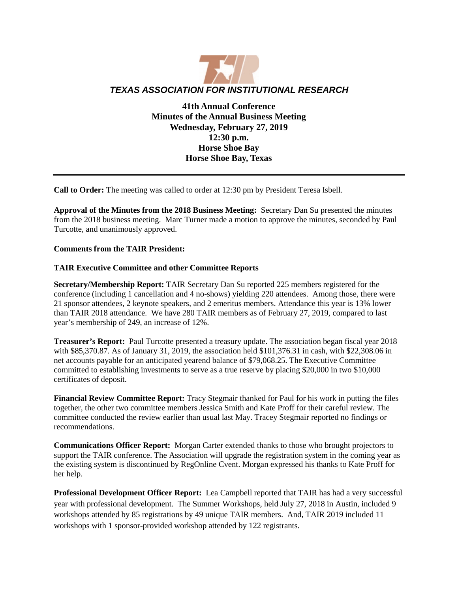

**41th Annual Conference Minutes of the Annual Business Meeting Wednesday, February 27, 2019 12:30 p.m. Horse Shoe Bay Horse Shoe Bay, Texas**

**Call to Order:** The meeting was called to order at 12:30 pm by President Teresa Isbell.

**Approval of the Minutes from the 2018 Business Meeting:** Secretary Dan Su presented the minutes from the 2018 business meeting. Marc Turner made a motion to approve the minutes, seconded by Paul Turcotte, and unanimously approved.

## **Comments from the TAIR President:**

## **TAIR Executive Committee and other Committee Reports**

**Secretary/Membership Report:** TAIR Secretary Dan Su reported 225 members registered for the conference (including 1 cancellation and 4 no-shows) yielding 220 attendees. Among those, there were 21 sponsor attendees, 2 keynote speakers, and 2 emeritus members. Attendance this year is 13% lower than TAIR 2018 attendance. We have 280 TAIR members as of February 27, 2019, compared to last year's membership of 249, an increase of 12%.

**Treasurer's Report:** Paul Turcotte presented a treasury update. The association began fiscal year 2018 with \$85,370.87. As of January 31, 2019, the association held \$101,376.31 in cash, with \$22,308.06 in net accounts payable for an anticipated yearend balance of \$79,068.25. The Executive Committee committed to establishing investments to serve as a true reserve by placing \$20,000 in two \$10,000 certificates of deposit.

**Financial Review Committee Report:** Tracy Stegmair thanked for Paul for his work in putting the files together, the other two committee members Jessica Smith and Kate Proff for their careful review. The committee conducted the review earlier than usual last May. Tracey Stegmair reported no findings or recommendations.

**Communications Officer Report:** Morgan Carter extended thanks to those who brought projectors to support the TAIR conference. The Association will upgrade the registration system in the coming year as the existing system is discontinued by RegOnline Cvent. Morgan expressed his thanks to Kate Proff for her help.

**Professional Development Officer Report:** Lea Campbell reported that TAIR has had a very successful year with professional development. The Summer Workshops, held July 27, 2018 in Austin, included 9 workshops attended by 85 registrations by 49 unique TAIR members. And, TAIR 2019 included 11 workshops with 1 sponsor-provided workshop attended by 122 registrants.